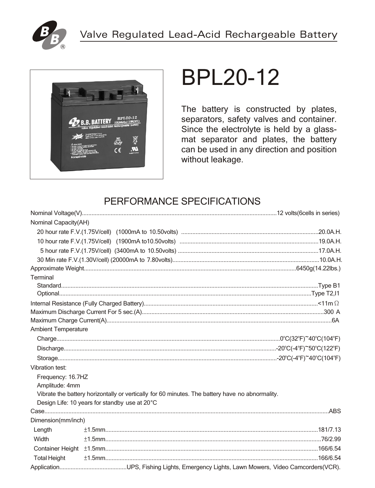



# **BPL20-12**

The battery is constructed by plates, separators, safety valves and container. Since the electrolyte is held by a glassmat separator and plates, the battery can be used in any direction and position without leakage.

# PERFORMANCE SPECIFICATIONS

| Nominal Capacity(AH)       |                                               |                                                                                                 |
|----------------------------|-----------------------------------------------|-------------------------------------------------------------------------------------------------|
|                            |                                               |                                                                                                 |
|                            |                                               |                                                                                                 |
|                            |                                               |                                                                                                 |
|                            |                                               |                                                                                                 |
|                            |                                               |                                                                                                 |
| Terminal                   |                                               |                                                                                                 |
|                            |                                               |                                                                                                 |
|                            |                                               |                                                                                                 |
|                            |                                               |                                                                                                 |
|                            |                                               |                                                                                                 |
|                            |                                               |                                                                                                 |
| <b>Ambient Temperature</b> |                                               |                                                                                                 |
|                            |                                               |                                                                                                 |
|                            |                                               |                                                                                                 |
|                            |                                               |                                                                                                 |
| Vibration test:            |                                               |                                                                                                 |
| Frequency: 16.7HZ          |                                               |                                                                                                 |
| Amplitude: 4mm             |                                               |                                                                                                 |
|                            |                                               | Vibrate the battery horizontally or vertically for 60 minutes. The battery have no abnormality. |
|                            | Design Life: 10 years for standby use at 20°C |                                                                                                 |
|                            |                                               |                                                                                                 |
| Dimension(mm/inch)         |                                               |                                                                                                 |
| Length                     |                                               |                                                                                                 |
| Width                      |                                               |                                                                                                 |
|                            |                                               |                                                                                                 |
| <b>Total Height</b>        |                                               |                                                                                                 |
|                            |                                               |                                                                                                 |